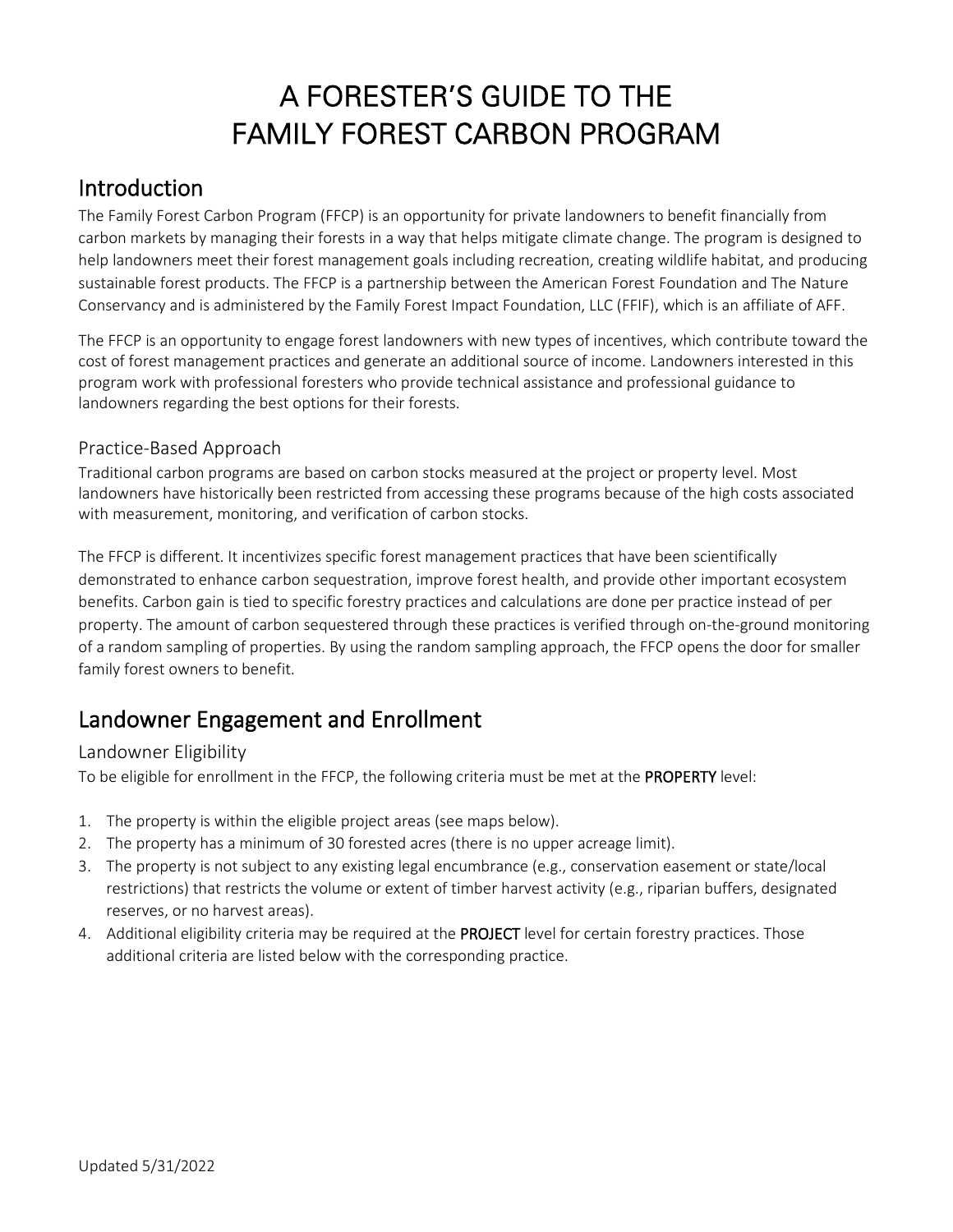# A FORESTER'S GUIDE TO THE FAMILY FOREST CARBON PROGRAM

### Introduction

The Family Forest Carbon Program (FFCP) is an opportunity for private landowners to benefit financially from carbon markets by managing their forests in a way that helps mitigate climate change. The program is designed to help landowners meet their forest management goals including recreation, creating wildlife habitat, and producing sustainable forest products. The FFCP is a partnership between the American Forest Foundation and The Nature Conservancy and is administered by the Family Forest Impact Foundation, LLC (FFIF), which is an affiliate of AFF.

The FFCP is an opportunity to engage forest landowners with new types of incentives, which contribute toward the cost of forest management practices and generate an additional source of income. Landowners interested in this program work with professional foresters who provide technical assistance and professional guidance to landowners regarding the best options for their forests.

#### Practice-Based Approach

Traditional carbon programs are based on carbon stocks measured at the project or property level. Most landowners have historically been restricted from accessing these programs because of the high costs associated with measurement, monitoring, and verification of carbon stocks.

The FFCP is different. It incentivizes specific forest management practices that have been scientifically demonstrated to enhance carbon sequestration, improve forest health, and provide other important ecosystem benefits. Carbon gain is tied to specific forestry practices and calculations are done per practice instead of per property. The amount of carbon sequestered through these practices is verified through on-the-ground monitoring of a random sampling of properties. By using the random sampling approach, the FFCP opens the door for smaller family forest owners to benefit.

## Landowner Engagement and Enrollment

#### Landowner Eligibility

To be eligible for enrollment in the FFCP, the following criteria must be met at the PROPERTY level:

- 1. The property is within the eligible project areas (see maps below).
- 2. The property has a minimum of 30 forested acres (there is no upper acreage limit).
- 3. The property is not subject to any existing legal encumbrance (e.g., conservation easement or state/local restrictions) that restricts the volume or extent of timber harvest activity (e.g., riparian buffers, designated reserves, or no harvest areas).
- 4. Additional eligibility criteria may be required at the PROJECT level for certain forestry practices. Those additional criteria are listed below with the corresponding practice.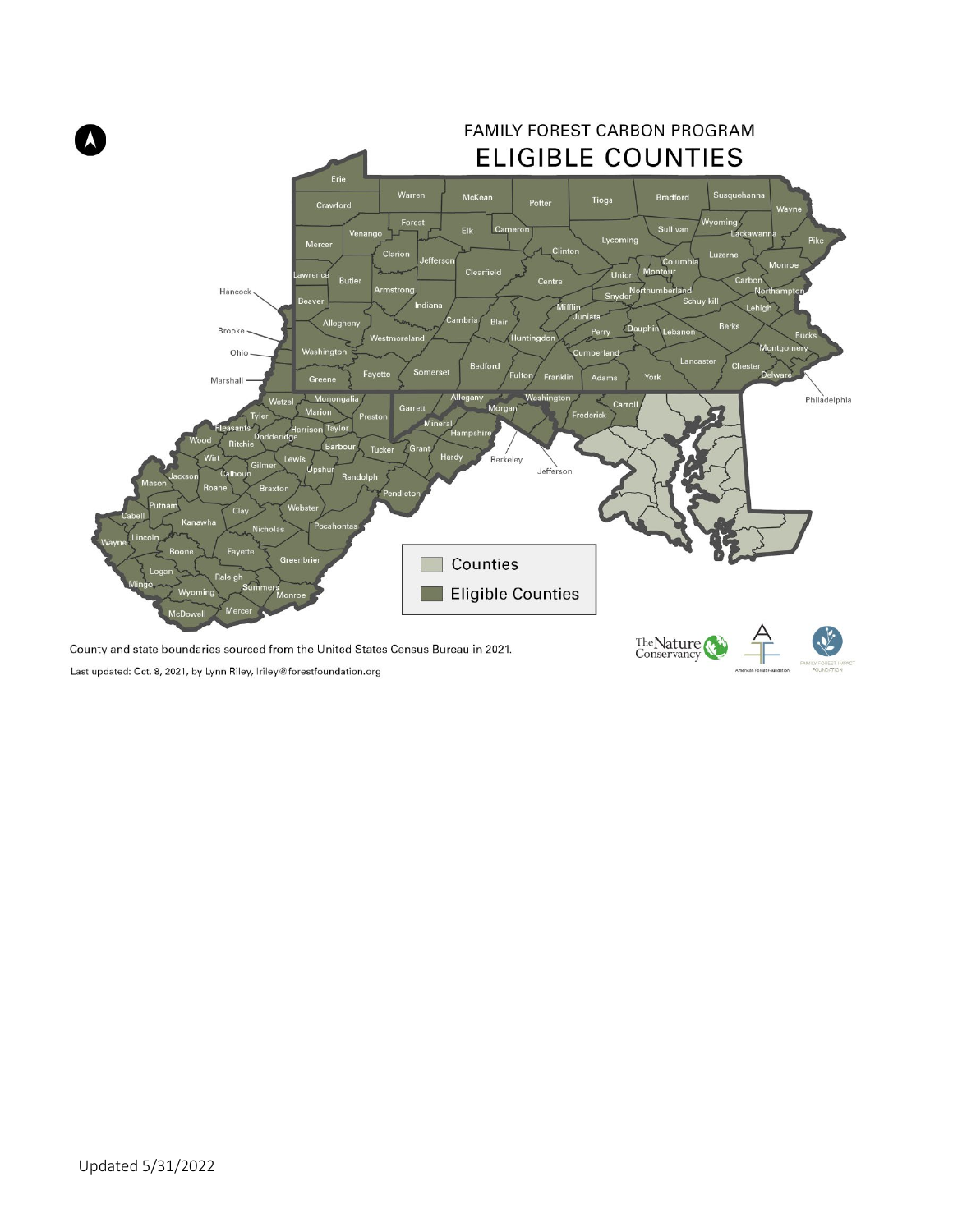

Last updated: Oct. 8, 2021, by Lynn Riley, Iriley@forestfoundation.org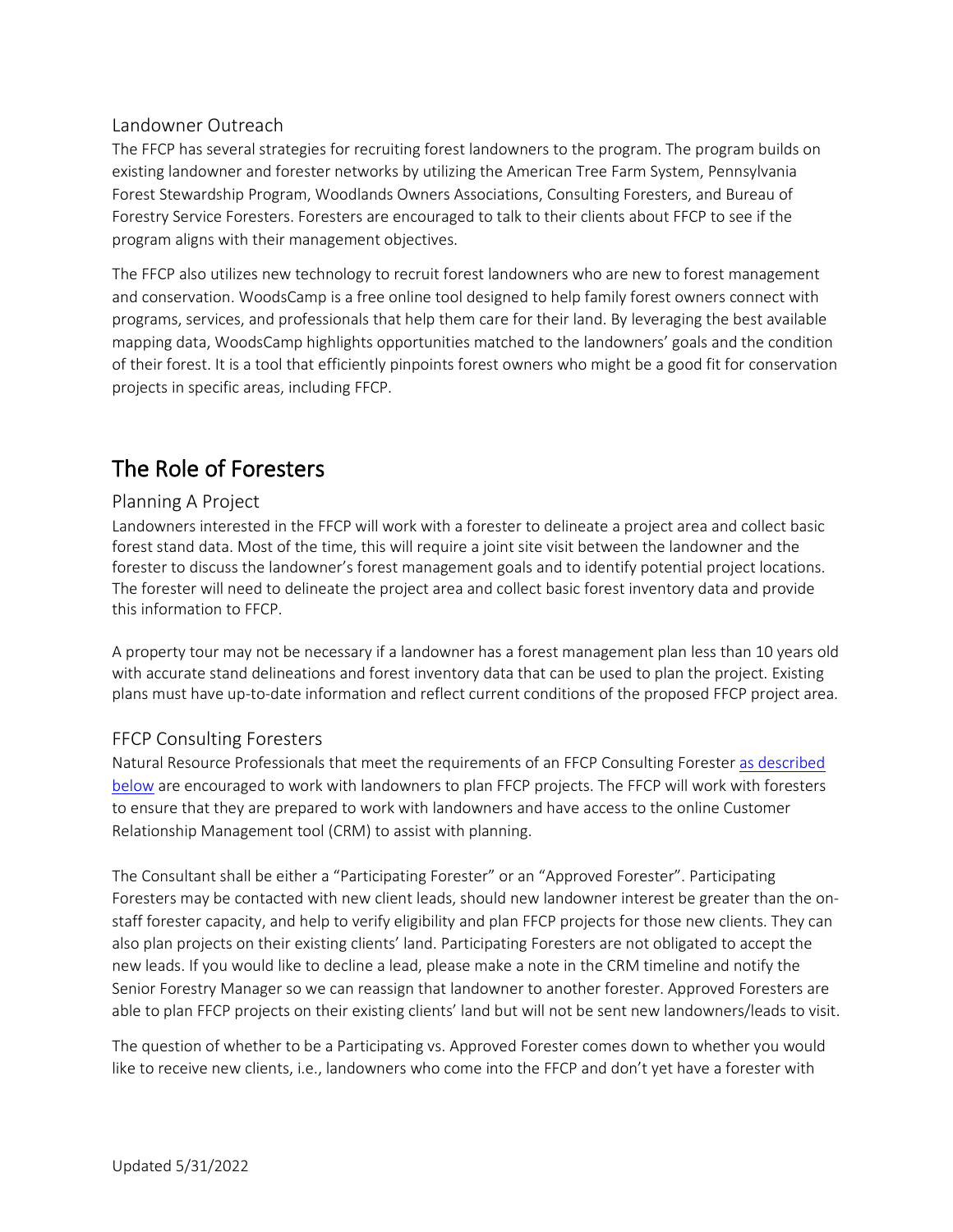#### Landowner Outreach

The FFCP has several strategies for recruiting forest landowners to the program. The program builds on existing landowner and forester networks by utilizing the American Tree Farm System, Pennsylvania Forest Stewardship Program, Woodlands Owners Associations, Consulting Foresters, and Bureau of Forestry Service Foresters. Foresters are encouraged to talk to their clients about FFCP to see if the program aligns with their management objectives.

The FFCP also utilizes new technology to recruit forest landowners who are new to forest management and conservation. WoodsCamp is a free online tool designed to help family forest owners connect with programs, services, and professionals that help them care for their land. By leveraging the best available mapping data, WoodsCamp highlights opportunities matched to the landowners' goals and the condition of their forest. It is a tool that efficiently pinpoints forest owners who might be a good fit for conservation projects in specific areas, including FFCP.

## The Role of Foresters

#### Planning A Project

Landowners interested in the FFCP will work with a forester to delineate a project area and collect basic forest stand data. Most of the time, this will require a joint site visit between the landowner and the forester to discuss the landowner's forest management goals and to identify potential project locations. The forester will need to delineate the project area and collect basic forest inventory data and provide this information to FFCP.

A property tour may not be necessary if a landowner has a forest management plan less than 10 years old with accurate stand delineations and forest inventory data that can be used to plan the project. Existing plans must have up-to-date information and reflect current conditions of the proposed FFCP project area.

#### FFCP Consulting Foresters

Natural Resource Professionals that meet the requirements of an FFCP Consulting Forester as described below are encouraged to work with landowners to plan FFCP projects. The FFCP will work with foresters to ensure that they are prepared to work with landowners and have access to the online Customer Relationship Management tool (CRM) to assist with planning.

The Consultant shall be either a "Participating Forester" or an "Approved Forester". Participating Foresters may be contacted with new client leads, should new landowner interest be greater than the onstaff forester capacity, and help to verify eligibility and plan FFCP projects for those new clients. They can also plan projects on their existing clients' land. Participating Foresters are not obligated to accept the new leads. If you would like to decline a lead, please make a note in the CRM timeline and notify the Senior Forestry Manager so we can reassign that landowner to another forester. Approved Foresters are able to plan FFCP projects on their existing clients' land but will not be sent new landowners/leads to visit.

The question of whether to be a Participating vs. Approved Forester comes down to whether you would like to receive new clients, i.e., landowners who come into the FFCP and don't yet have a forester with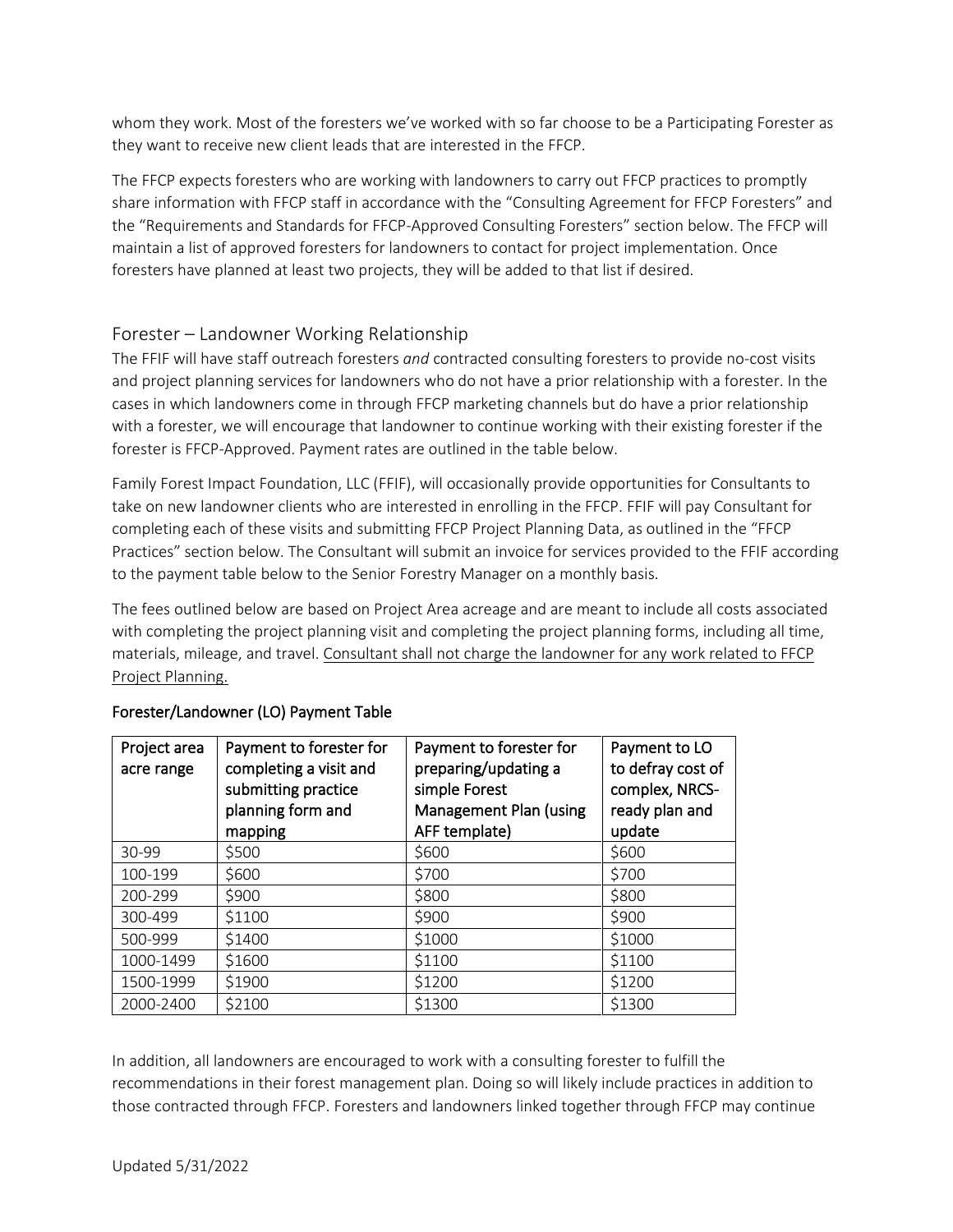whom they work. Most of the foresters we've worked with so far choose to be a Participating Forester as they want to receive new client leads that are interested in the FFCP.

The FFCP expects foresters who are working with landowners to carry out FFCP practices to promptly share information with FFCP staff in accordance with the "Consulting Agreement for FFCP Foresters" and the "Requirements and Standards for FFCP-Approved Consulting Foresters" section below. The FFCP will maintain a list of approved foresters for landowners to contact for project implementation. Once foresters have planned at least two projects, they will be added to that list if desired.

#### Forester – Landowner Working Relationship

The FFIF will have staff outreach foresters *and* contracted consulting foresters to provide no-cost visits and project planning services for landowners who do not have a prior relationship with a forester. In the cases in which landowners come in through FFCP marketing channels but do have a prior relationship with a forester, we will encourage that landowner to continue working with their existing forester if the forester is FFCP-Approved. Payment rates are outlined in the table below.

Family Forest Impact Foundation, LLC (FFIF), will occasionally provide opportunities for Consultants to take on new landowner clients who are interested in enrolling in the FFCP. FFIF will pay Consultant for completing each of these visits and submitting FFCP Project Planning Data, as outlined in the "FFCP Practices" section below. The Consultant will submit an invoice for services provided to the FFIF according to the payment table below to the Senior Forestry Manager on a monthly basis.

The fees outlined below are based on Project Area acreage and are meant to include all costs associated with completing the project planning visit and completing the project planning forms, including all time, materials, mileage, and travel. Consultant shall not charge the landowner for any work related to FFCP Project Planning.

| Project area<br>acre range | Payment to forester for<br>completing a visit and<br>submitting practice<br>planning form and<br>mapping | Payment to forester for<br>preparing/updating a<br>simple Forest<br>Management Plan (using<br>AFF template) | Payment to LO<br>to defray cost of<br>complex, NRCS-<br>ready plan and<br>update |
|----------------------------|----------------------------------------------------------------------------------------------------------|-------------------------------------------------------------------------------------------------------------|----------------------------------------------------------------------------------|
| 30-99                      | \$500                                                                                                    | \$600                                                                                                       | \$600                                                                            |
| 100-199                    | \$600                                                                                                    | \$700                                                                                                       | \$700                                                                            |
| 200-299                    | \$900                                                                                                    | \$800                                                                                                       | \$800                                                                            |
| 300-499                    | \$1100                                                                                                   | \$900                                                                                                       | \$900                                                                            |
| 500-999                    | \$1400                                                                                                   | \$1000                                                                                                      | \$1000                                                                           |
| 1000-1499                  | \$1600                                                                                                   | \$1100                                                                                                      | \$1100                                                                           |
| 1500-1999                  | \$1900                                                                                                   | \$1200                                                                                                      | \$1200                                                                           |
| 2000-2400                  | \$2100                                                                                                   | \$1300                                                                                                      | \$1300                                                                           |

#### Forester/Landowner (LO) Payment Table

In addition, all landowners are encouraged to work with a consulting forester to fulfill the recommendations in their forest management plan. Doing so will likely include practices in addition to those contracted through FFCP. Foresters and landowners linked together through FFCP may continue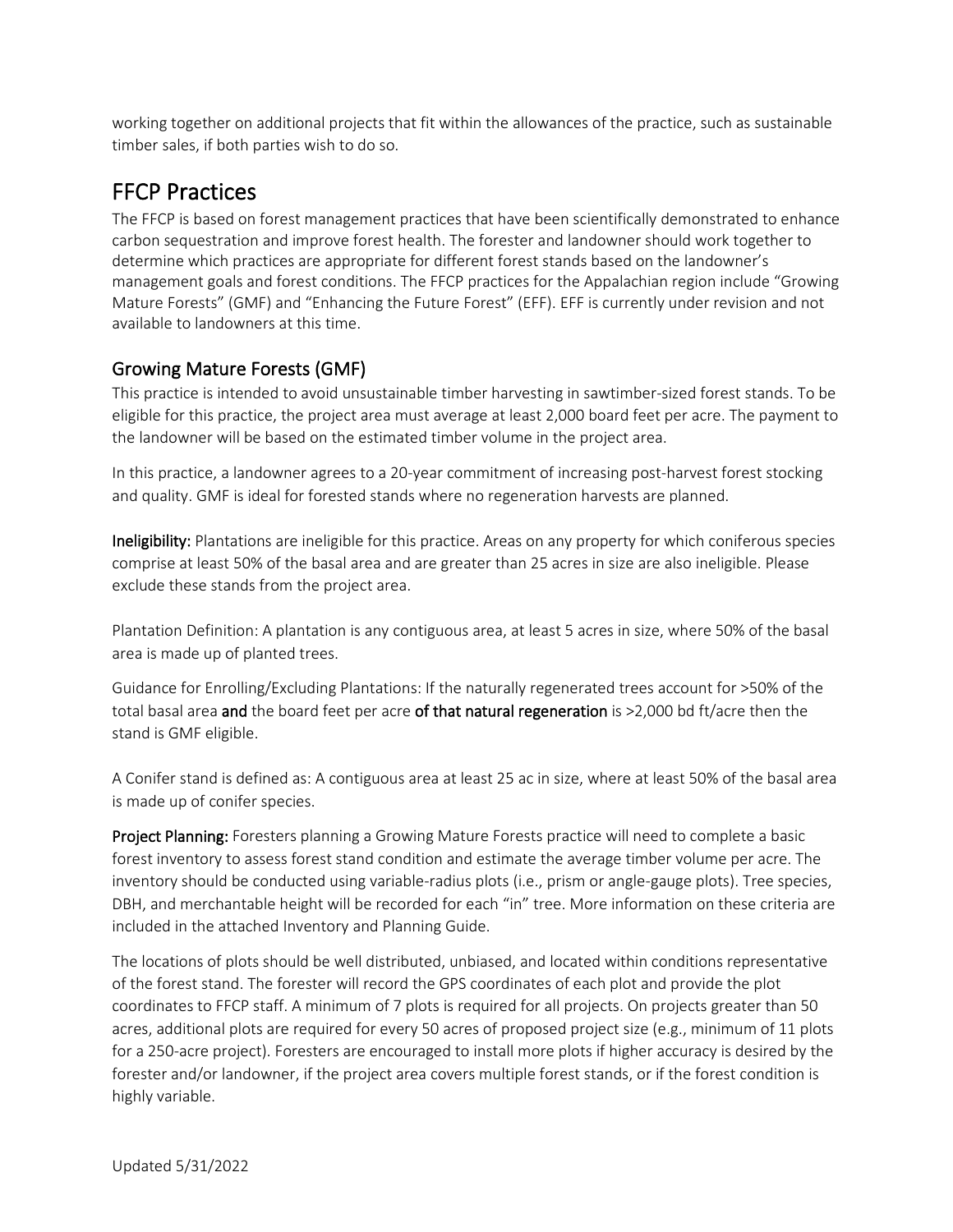working together on additional projects that fit within the allowances of the practice, such as sustainable timber sales, if both parties wish to do so.

### FFCP Practices

The FFCP is based on forest management practices that have been scientifically demonstrated to enhance carbon sequestration and improve forest health. The forester and landowner should work together to determine which practices are appropriate for different forest stands based on the landowner's management goals and forest conditions. The FFCP practices for the Appalachian region include "Growing Mature Forests" (GMF) and "Enhancing the Future Forest" (EFF). EFF is currently under revision and not available to landowners at this time.

### Growing Mature Forests (GMF)

This practice is intended to avoid unsustainable timber harvesting in sawtimber-sized forest stands. To be eligible for this practice, the project area must average at least 2,000 board feet per acre. The payment to the landowner will be based on the estimated timber volume in the project area.

In this practice, a landowner agrees to a 20-year commitment of increasing post-harvest forest stocking and quality. GMF is ideal for forested stands where no regeneration harvests are planned.

Ineligibility: Plantations are ineligible for this practice. Areas on any property for which coniferous species comprise at least 50% of the basal area and are greater than 25 acres in size are also ineligible. Please exclude these stands from the project area.

Plantation Definition: A plantation is any contiguous area, at least 5 acres in size, where 50% of the basal area is made up of planted trees.

Guidance for Enrolling/Excluding Plantations: If the naturally regenerated trees account for >50% of the total basal area and the board feet per acre of that natural regeneration is >2,000 bd ft/acre then the stand is GMF eligible.

A Conifer stand is defined as: A contiguous area at least 25 ac in size, where at least 50% of the basal area is made up of conifer species.

Project Planning: Foresters planning a Growing Mature Forests practice will need to complete a basic forest inventory to assess forest stand condition and estimate the average timber volume per acre. The inventory should be conducted using variable-radius plots (i.e., prism or angle-gauge plots). Tree species, DBH, and merchantable height will be recorded for each "in" tree. More information on these criteria are included in the attached Inventory and Planning Guide.

The locations of plots should be well distributed, unbiased, and located within conditions representative of the forest stand. The forester will record the GPS coordinates of each plot and provide the plot coordinates to FFCP staff. A minimum of 7 plots is required for all projects. On projects greater than 50 acres, additional plots are required for every 50 acres of proposed project size (e.g., minimum of 11 plots for a 250-acre project). Foresters are encouraged to install more plots if higher accuracy is desired by the forester and/or landowner, if the project area covers multiple forest stands, or if the forest condition is highly variable.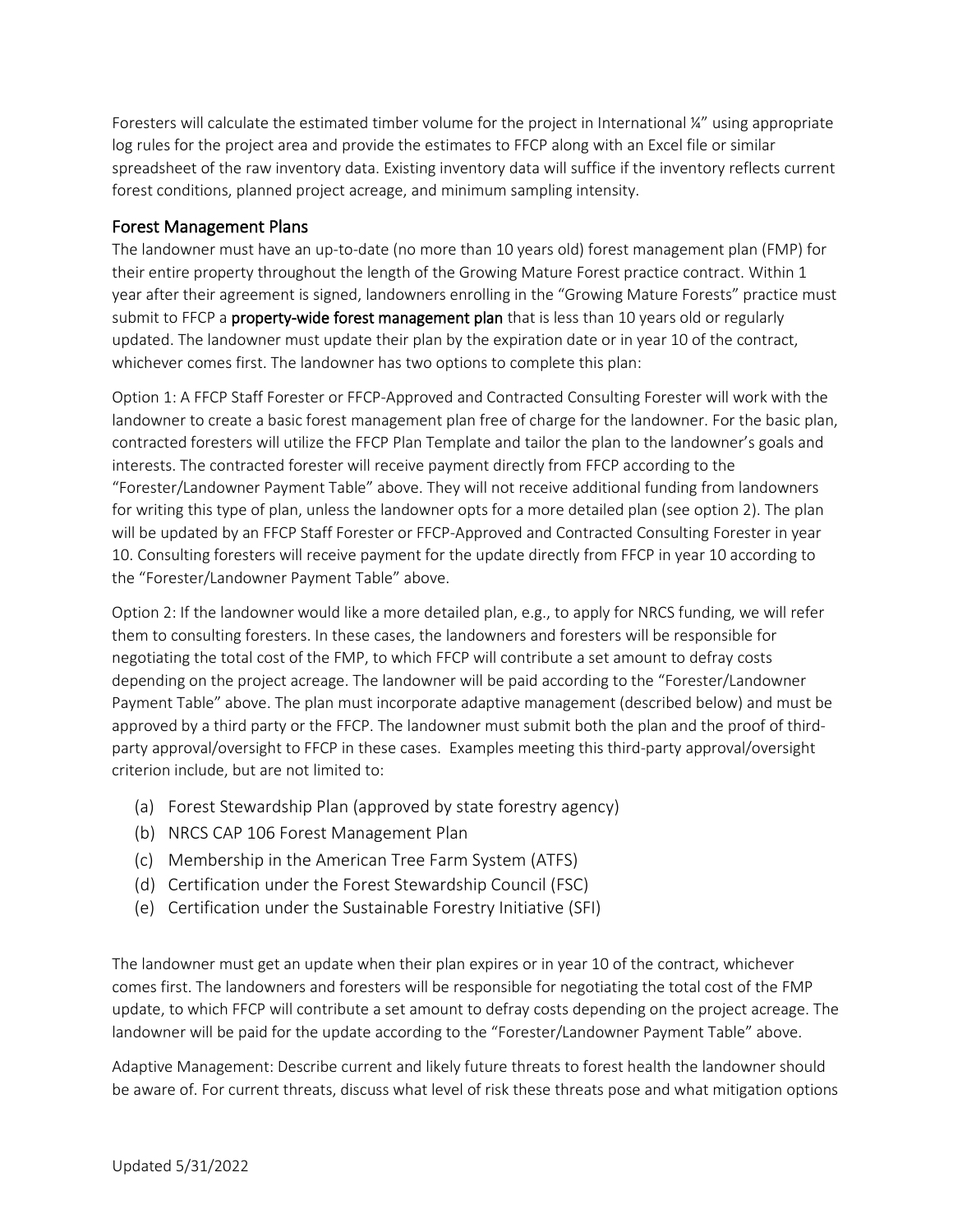Foresters will calculate the estimated timber volume for the project in International ¼" using appropriate log rules for the project area and provide the estimates to FFCP along with an Excel file or similar spreadsheet of the raw inventory data. Existing inventory data will suffice if the inventory reflects current forest conditions, planned project acreage, and minimum sampling intensity.

#### Forest Management Plans

The landowner must have an up-to-date (no more than 10 years old) forest management plan (FMP) for their entire property throughout the length of the Growing Mature Forest practice contract. Within 1 year after their agreement is signed, landowners enrolling in the "Growing Mature Forests" practice must submit to FFCP a property-wide forest management plan that is less than 10 years old or regularly updated. The landowner must update their plan by the expiration date or in year 10 of the contract, whichever comes first. The landowner has two options to complete this plan:

Option 1: A FFCP Staff Forester or FFCP-Approved and Contracted Consulting Forester will work with the landowner to create a basic forest management plan free of charge for the landowner. For the basic plan, contracted foresters will utilize the FFCP Plan Template and tailor the plan to the landowner's goals and interests. The contracted forester will receive payment directly from FFCP according to the "Forester/Landowner Payment Table" above. They will not receive additional funding from landowners for writing this type of plan, unless the landowner opts for a more detailed plan (see option 2). The plan will be updated by an FFCP Staff Forester or FFCP-Approved and Contracted Consulting Forester in year 10. Consulting foresters will receive payment for the update directly from FFCP in year 10 according to the "Forester/Landowner Payment Table" above.

Option 2: If the landowner would like a more detailed plan, e.g., to apply for NRCS funding, we will refer them to consulting foresters. In these cases, the landowners and foresters will be responsible for negotiating the total cost of the FMP, to which FFCP will contribute a set amount to defray costs depending on the project acreage. The landowner will be paid according to the "Forester/Landowner Payment Table" above. The plan must incorporate adaptive management (described below) and must be approved by a third party or the FFCP. The landowner must submit both the plan and the proof of thirdparty approval/oversight to FFCP in these cases. Examples meeting this third-party approval/oversight criterion include, but are not limited to:

- (a) Forest Stewardship Plan (approved by state forestry agency)
- (b) NRCS CAP 106 Forest Management Plan
- (c) Membership in the American Tree Farm System (ATFS)
- (d) Certification under the Forest Stewardship Council (FSC)
- (e) Certification under the Sustainable Forestry Initiative (SFI)

The landowner must get an update when their plan expires or in year 10 of the contract, whichever comes first. The landowners and foresters will be responsible for negotiating the total cost of the FMP update, to which FFCP will contribute a set amount to defray costs depending on the project acreage. The landowner will be paid for the update according to the "Forester/Landowner Payment Table" above.

Adaptive Management: Describe current and likely future threats to forest health the landowner should be aware of. For current threats, discuss what level of risk these threats pose and what mitigation options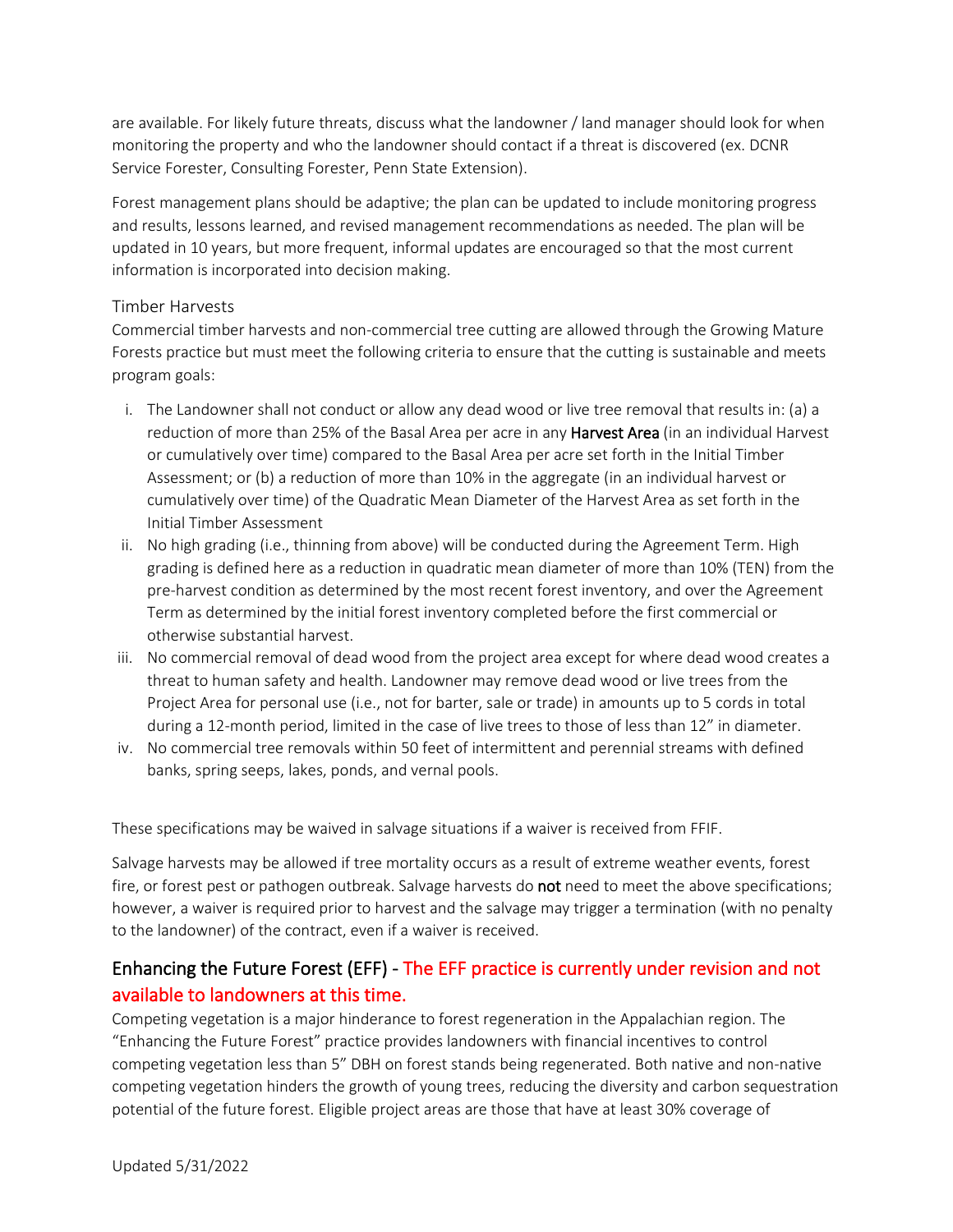are available. For likely future threats, discuss what the landowner / land manager should look for when monitoring the property and who the landowner should contact if a threat is discovered (ex. DCNR Service Forester, Consulting Forester, Penn State Extension).

Forest management plans should be adaptive; the plan can be updated to include monitoring progress and results, lessons learned, and revised management recommendations as needed. The plan will be updated in 10 years, but more frequent, informal updates are encouraged so that the most current information is incorporated into decision making.

#### Timber Harvests

Commercial timber harvests and non-commercial tree cutting are allowed through the Growing Mature Forests practice but must meet the following criteria to ensure that the cutting is sustainable and meets program goals:

- i. The Landowner shall not conduct or allow any dead wood or live tree removal that results in: (a) a reduction of more than 25% of the Basal Area per acre in any **Harvest Area** (in an individual Harvest or cumulatively over time) compared to the Basal Area per acre set forth in the Initial Timber Assessment; or (b) a reduction of more than 10% in the aggregate (in an individual harvest or cumulatively over time) of the Quadratic Mean Diameter of the Harvest Area as set forth in the Initial Timber Assessment
- ii. No high grading (i.e., thinning from above) will be conducted during the Agreement Term. High grading is defined here as a reduction in quadratic mean diameter of more than 10% (TEN) from the pre-harvest condition as determined by the most recent forest inventory, and over the Agreement Term as determined by the initial forest inventory completed before the first commercial or otherwise substantial harvest.
- iii. No commercial removal of dead wood from the project area except for where dead wood creates a threat to human safety and health. Landowner may remove dead wood or live trees from the Project Area for personal use (i.e., not for barter, sale or trade) in amounts up to 5 cords in total during a 12-month period, limited in the case of live trees to those of less than 12" in diameter.
- iv. No commercial tree removals within 50 feet of intermittent and perennial streams with defined banks, spring seeps, lakes, ponds, and vernal pools.

These specifications may be waived in salvage situations if a waiver is received from FFIF.

Salvage harvests may be allowed if tree mortality occurs as a result of extreme weather events, forest fire, or forest pest or pathogen outbreak. Salvage harvests do **not** need to meet the above specifications; however, a waiver is required prior to harvest and the salvage may trigger a termination (with no penalty to the landowner) of the contract, even if a waiver is received.

### Enhancing the Future Forest (EFF) - The EFF practice is currently under revision and not available to landowners at this time.

Competing vegetation is a major hinderance to forest regeneration in the Appalachian region. The "Enhancing the Future Forest" practice provides landowners with financial incentives to control competing vegetation less than 5" DBH on forest stands being regenerated. Both native and non-native competing vegetation hinders the growth of young trees, reducing the diversity and carbon sequestration potential of the future forest. Eligible project areas are those that have at least 30% coverage of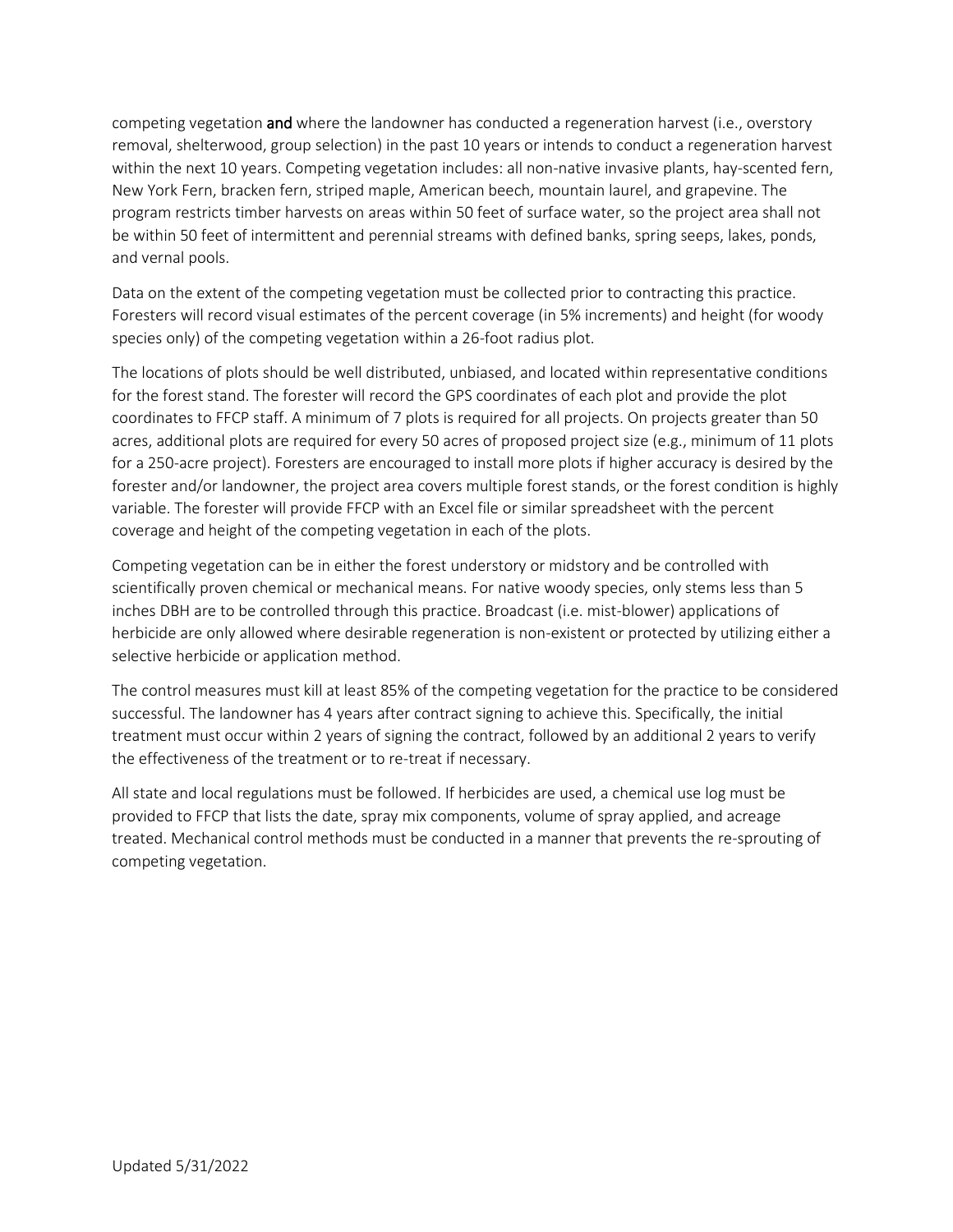competing vegetation **and** where the landowner has conducted a regeneration harvest (i.e., overstory removal, shelterwood, group selection) in the past 10 years or intends to conduct a regeneration harvest within the next 10 years. Competing vegetation includes: all non-native invasive plants, hay-scented fern, New York Fern, bracken fern, striped maple, American beech, mountain laurel, and grapevine. The program restricts timber harvests on areas within 50 feet of surface water, so the project area shall not be within 50 feet of intermittent and perennial streams with defined banks, spring seeps, lakes, ponds, and vernal pools.

Data on the extent of the competing vegetation must be collected prior to contracting this practice. Foresters will record visual estimates of the percent coverage (in 5% increments) and height (for woody species only) of the competing vegetation within a 26-foot radius plot.

The locations of plots should be well distributed, unbiased, and located within representative conditions for the forest stand. The forester will record the GPS coordinates of each plot and provide the plot coordinates to FFCP staff. A minimum of 7 plots is required for all projects. On projects greater than 50 acres, additional plots are required for every 50 acres of proposed project size (e.g., minimum of 11 plots for a 250-acre project). Foresters are encouraged to install more plots if higher accuracy is desired by the forester and/or landowner, the project area covers multiple forest stands, or the forest condition is highly variable. The forester will provide FFCP with an Excel file or similar spreadsheet with the percent coverage and height of the competing vegetation in each of the plots.

Competing vegetation can be in either the forest understory or midstory and be controlled with scientifically proven chemical or mechanical means. For native woody species, only stems less than 5 inches DBH are to be controlled through this practice. Broadcast (i.e. mist-blower) applications of herbicide are only allowed where desirable regeneration is non-existent or protected by utilizing either a selective herbicide or application method.

The control measures must kill at least 85% of the competing vegetation for the practice to be considered successful. The landowner has 4 years after contract signing to achieve this. Specifically, the initial treatment must occur within 2 years of signing the contract, followed by an additional 2 years to verify the effectiveness of the treatment or to re-treat if necessary.

All state and local regulations must be followed. If herbicides are used, a chemical use log must be provided to FFCP that lists the date, spray mix components, volume of spray applied, and acreage treated. Mechanical control methods must be conducted in a manner that prevents the re-sprouting of competing vegetation.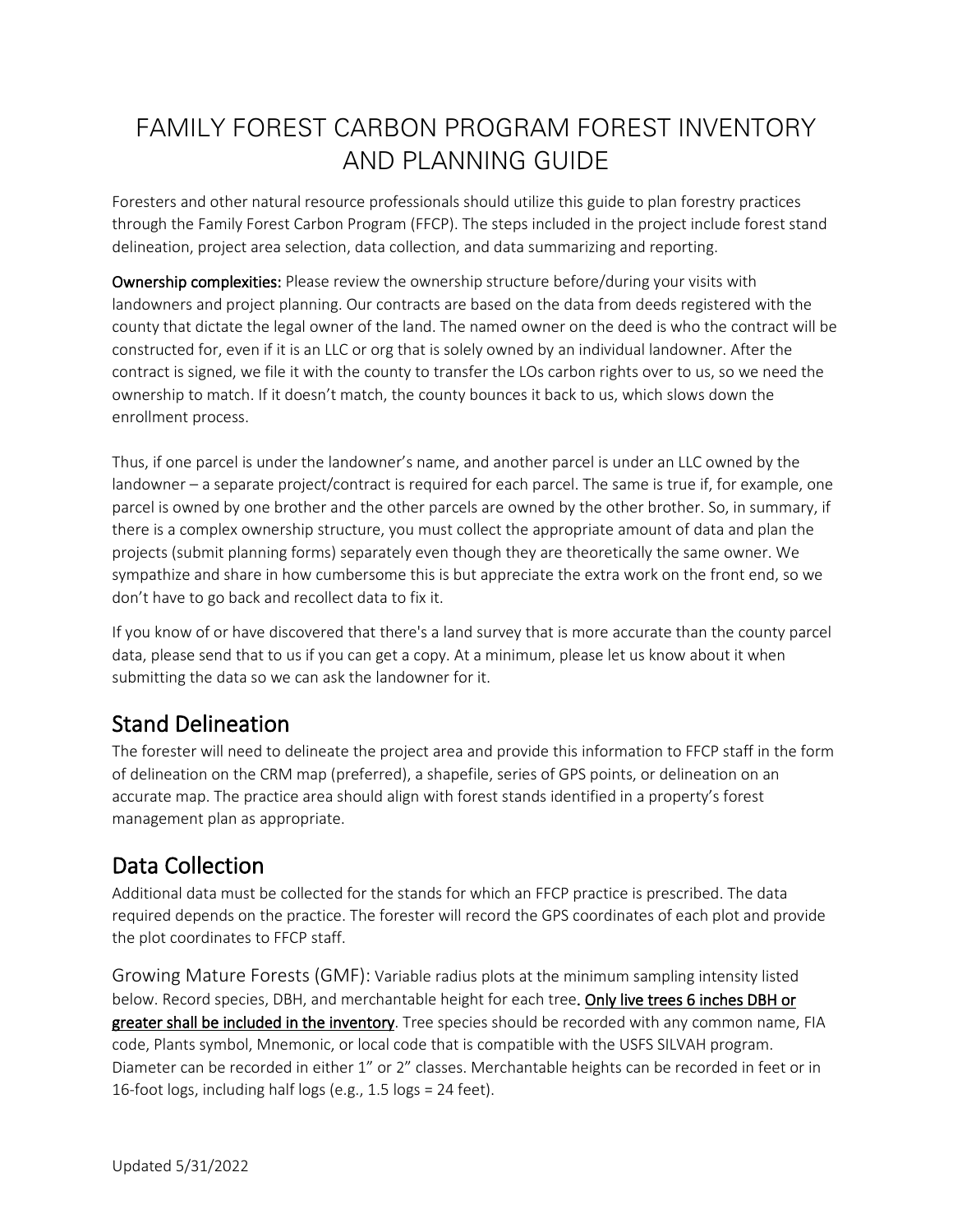# FAMILY FOREST CARBON PROGRAM FOREST INVENTORY AND PLANNING GUIDE

Foresters and other natural resource professionals should utilize this guide to plan forestry practices through the Family Forest Carbon Program (FFCP). The steps included in the project include forest stand delineation, project area selection, data collection, and data summarizing and reporting.

Ownership complexities: Please review the ownership structure before/during your visits with landowners and project planning. Our contracts are based on the data from deeds registered with the county that dictate the legal owner of the land. The named owner on the deed is who the contract will be constructed for, even if it is an LLC or org that is solely owned by an individual landowner. After the contract is signed, we file it with the county to transfer the LOs carbon rights over to us, so we need the ownership to match. If it doesn't match, the county bounces it back to us, which slows down the enrollment process.

Thus, if one parcel is under the landowner's name, and another parcel is under an LLC owned by the landowner – a separate project/contract is required for each parcel. The same is true if, for example, one parcel is owned by one brother and the other parcels are owned by the other brother. So, in summary, if there is a complex ownership structure, you must collect the appropriate amount of data and plan the projects (submit planning forms) separately even though they are theoretically the same owner. We sympathize and share in how cumbersome this is but appreciate the extra work on the front end, so we don't have to go back and recollect data to fix it.

If you know of or have discovered that there's a land survey that is more accurate than the county parcel data, please send that to us if you can get a copy. At a minimum, please let us know about it when submitting the data so we can ask the landowner for it.

## Stand Delineation

The forester will need to delineate the project area and provide this information to FFCP staff in the form of delineation on the CRM map (preferred), a shapefile, series of GPS points, or delineation on an accurate map. The practice area should align with forest stands identified in a property's forest management plan as appropriate.

# Data Collection

Additional data must be collected for the stands for which an FFCP practice is prescribed. The data required depends on the practice. The forester will record the GPS coordinates of each plot and provide the plot coordinates to FFCP staff.

Growing Mature Forests (GMF): Variable radius plots at the minimum sampling intensity listed below. Record species, DBH, and merchantable height for each tree. Only live trees 6 inches DBH or greater shall be included in the inventory. Tree species should be recorded with any common name, FIA code, Plants symbol, Mnemonic, or local code that is compatible with the USFS SILVAH program. Diameter can be recorded in either 1" or 2" classes. Merchantable heights can be recorded in feet or in 16-foot logs, including half logs (e.g., 1.5 logs = 24 feet).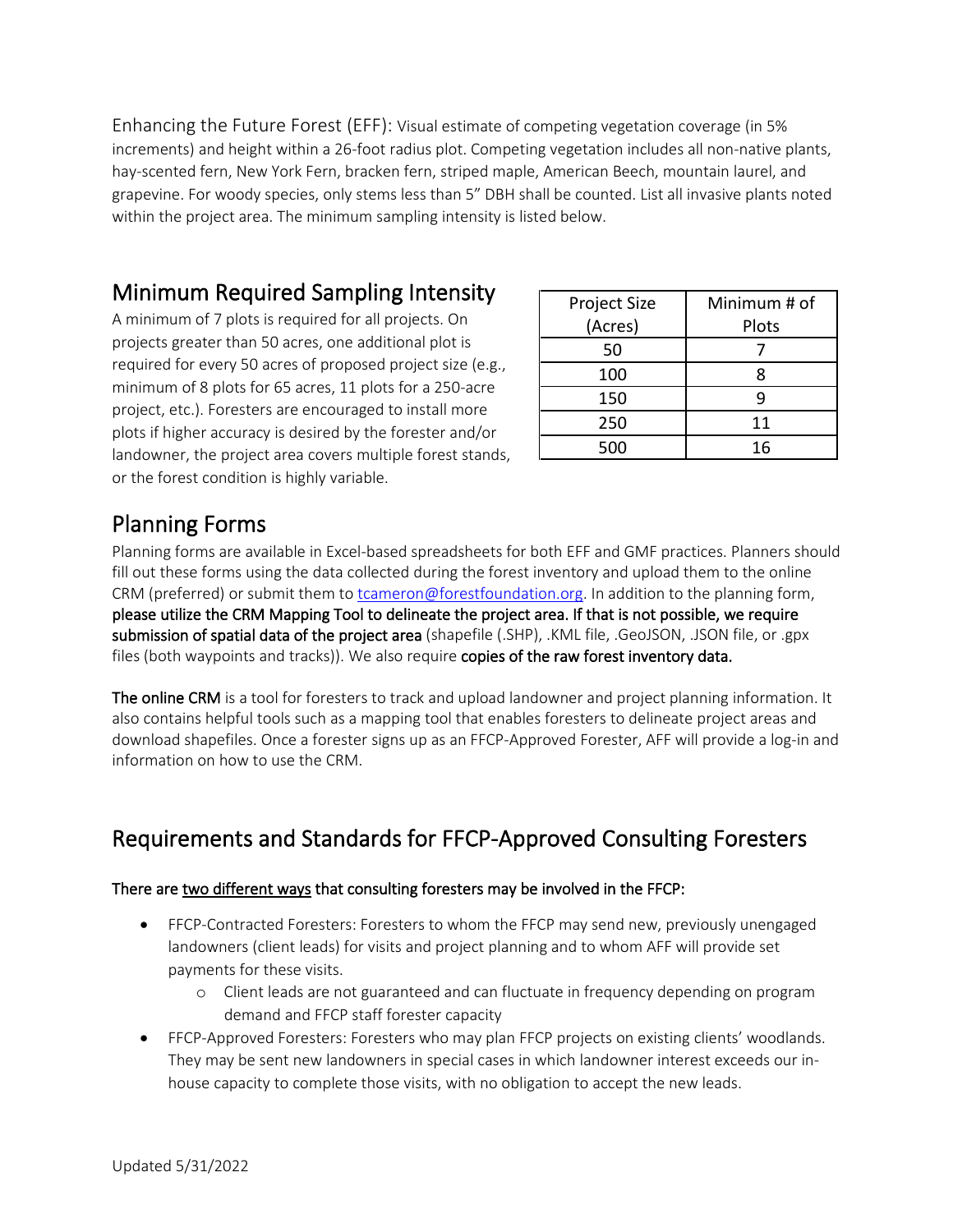Enhancing the Future Forest (EFF): Visual estimate of competing vegetation coverage (in 5% increments) and height within a 26-foot radius plot. Competing vegetation includes all non-native plants, hay-scented fern, New York Fern, bracken fern, striped maple, American Beech, mountain laurel, and grapevine. For woody species, only stems less than 5" DBH shall be counted. List all invasive plants noted within the project area. The minimum sampling intensity is listed below.

### Minimum Required Sampling Intensity

A minimum of 7 plots is required for all projects. On projects greater than 50 acres, one additional plot is required for every 50 acres of proposed project size (e.g., minimum of 8 plots for 65 acres, 11 plots for a 250-acre project, etc.). Foresters are encouraged to install more plots if higher accuracy is desired by the forester and/or landowner, the project area covers multiple forest stands, or the forest condition is highly variable.

| Project Size | Minimum # of |  |
|--------------|--------------|--|
| (Acres)      | Plots        |  |
| 50           |              |  |
| 100          | 8            |  |
| 150          | q            |  |
| 250          | 11           |  |
| 500          | 16           |  |

### Planning Forms

Planning forms are available in Excel-based spreadsheets for both EFF and GMF practices. Planners should fill out these forms using the data collected during the forest inventory and upload them to the online CRM (preferred) or submit them to [tcameron@forestfoundation.org.](mailto:tcameron@forestfoundation.org) In addition to the planning form, please utilize the CRM Mapping Tool to delineate the project area. If that is not possible, we require submission of spatial data of the project area (shapefile (.SHP), .KML file, .GeoJSON, .JSON file, or .gpx files (both waypoints and tracks)). We also require copies of the raw forest inventory data.

The online CRM is a tool for foresters to track and upload landowner and project planning information. It also contains helpful tools such as a mapping tool that enables foresters to delineate project areas and download shapefiles. Once a forester signs up as an FFCP-Approved Forester, AFF will provide a log-in and information on how to use the CRM.

## Requirements and Standards for FFCP-Approved Consulting Foresters

#### There are two different ways that consulting foresters may be involved in the FFCP:

- FFCP-Contracted Foresters: Foresters to whom the FFCP may send new, previously unengaged landowners (client leads) for visits and project planning and to whom AFF will provide set payments for these visits.
	- o Client leads are not guaranteed and can fluctuate in frequency depending on program demand and FFCP staff forester capacity
- FFCP-Approved Foresters: Foresters who may plan FFCP projects on existing clients' woodlands. They may be sent new landowners in special cases in which landowner interest exceeds our inhouse capacity to complete those visits, with no obligation to accept the new leads.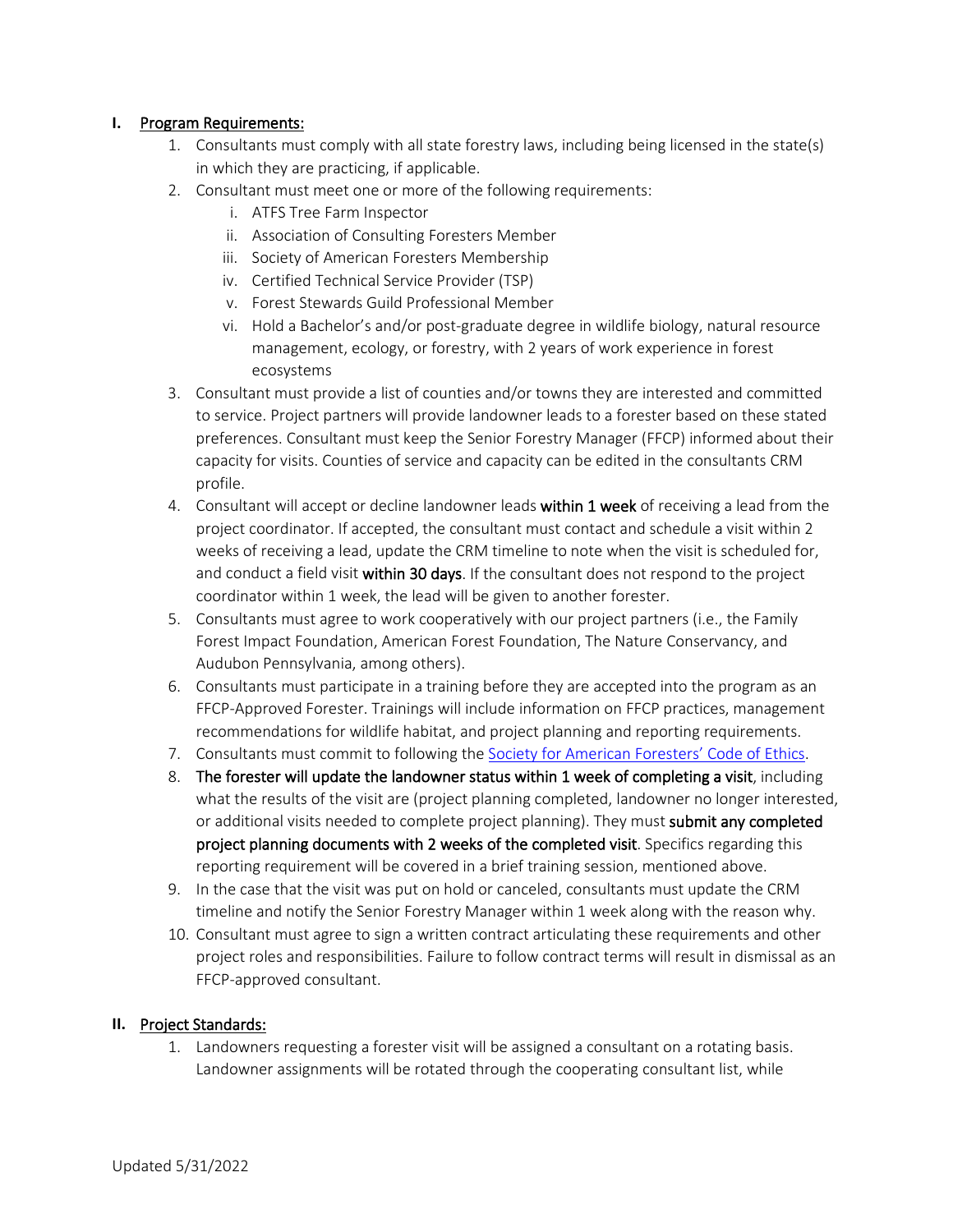#### **I.** Program Requirements:

- 1. Consultants must comply with all state forestry laws, including being licensed in the state(s) in which they are practicing, if applicable.
- 2. Consultant must meet one or more of the following requirements:
	- i. ATFS Tree Farm Inspector
	- ii. Association of Consulting Foresters Member
	- iii. Society of American Foresters Membership
	- iv. Certified Technical Service Provider (TSP)
	- v. Forest Stewards Guild Professional Member
	- vi. Hold a Bachelor's and/or post-graduate degree in wildlife biology, natural resource management, ecology, or forestry, with 2 years of work experience in forest ecosystems
- 3. Consultant must provide a list of counties and/or towns they are interested and committed to service. Project partners will provide landowner leads to a forester based on these stated preferences. Consultant must keep the Senior Forestry Manager (FFCP) informed about their capacity for visits. Counties of service and capacity can be edited in the consultants CRM profile.
- 4. Consultant will accept or decline landowner leads within 1 week of receiving a lead from the project coordinator. If accepted, the consultant must contact and schedule a visit within 2 weeks of receiving a lead, update the CRM timeline to note when the visit is scheduled for, and conduct a field visit within 30 days. If the consultant does not respond to the project coordinator within 1 week, the lead will be given to another forester.
- 5. Consultants must agree to work cooperatively with our project partners (i.e., the Family Forest Impact Foundation, American Forest Foundation, The Nature Conservancy, and Audubon Pennsylvania, among others).
- 6. Consultants must participate in a training before they are accepted into the program as an FFCP-Approved Forester. Trainings will include information on FFCP practices, management recommendations for wildlife habitat, and project planning and reporting requirements.
- 7. Consultants must commit to following the [Society for American Foresters' Code of Ethics.](https://www.eforester.org/CodeofEthics.aspx)
- 8. The forester will update the landowner status within 1 week of completing a visit, including what the results of the visit are (project planning completed, landowner no longer interested, or additional visits needed to complete project planning). They must submit any completed project planning documents with 2 weeks of the completed visit. Specifics regarding this reporting requirement will be covered in a brief training session, mentioned above.
- 9. In the case that the visit was put on hold or canceled, consultants must update the CRM timeline and notify the Senior Forestry Manager within 1 week along with the reason why.
- 10. Consultant must agree to sign a written contract articulating these requirements and other project roles and responsibilities. Failure to follow contract terms will result in dismissal as an FFCP-approved consultant.

#### **II.** Project Standards:

1. Landowners requesting a forester visit will be assigned a consultant on a rotating basis. Landowner assignments will be rotated through the cooperating consultant list, while